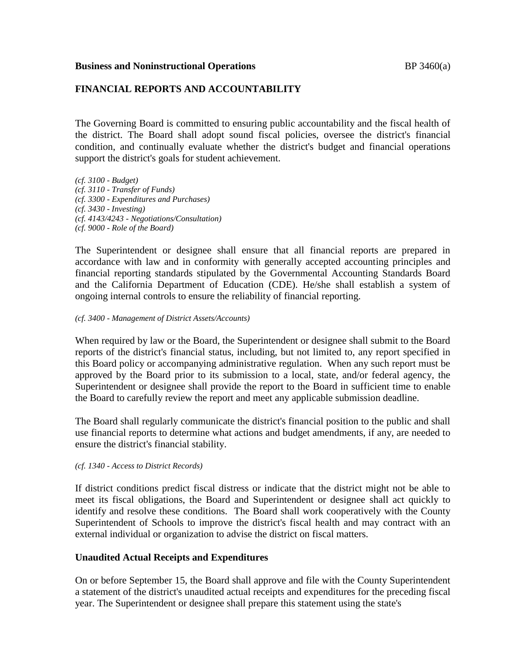#### **Business and Noninstructional Operations BP** 3460(a)

#### **FINANCIAL REPORTS AND ACCOUNTABILITY**

The Governing Board is committed to ensuring public accountability and the fiscal health of the district. The Board shall adopt sound fiscal policies, oversee the district's financial condition, and continually evaluate whether the district's budget and financial operations support the district's goals for student achievement.

*(cf. 3100 - Budget) (cf. 3110 - Transfer of Funds) (cf. 3300 - Expenditures and Purchases) (cf. 3430 - Investing) (cf. 4143/4243 - Negotiations/Consultation) (cf. 9000 - Role of the Board)*

The Superintendent or designee shall ensure that all financial reports are prepared in accordance with law and in conformity with generally accepted accounting principles and financial reporting standards stipulated by the Governmental Accounting Standards Board and the California Department of Education (CDE). He/she shall establish a system of ongoing internal controls to ensure the reliability of financial reporting.

#### *(cf. 3400 - Management of District Assets/Accounts)*

When required by law or the Board, the Superintendent or designee shall submit to the Board reports of the district's financial status, including, but not limited to, any report specified in this Board policy or accompanying administrative regulation. When any such report must be approved by the Board prior to its submission to a local, state, and/or federal agency, the Superintendent or designee shall provide the report to the Board in sufficient time to enable the Board to carefully review the report and meet any applicable submission deadline.

The Board shall regularly communicate the district's financial position to the public and shall use financial reports to determine what actions and budget amendments, if any, are needed to ensure the district's financial stability.

#### *(cf. 1340 - Access to District Records)*

If district conditions predict fiscal distress or indicate that the district might not be able to meet its fiscal obligations, the Board and Superintendent or designee shall act quickly to identify and resolve these conditions. The Board shall work cooperatively with the County Superintendent of Schools to improve the district's fiscal health and may contract with an external individual or organization to advise the district on fiscal matters.

#### **Unaudited Actual Receipts and Expenditures**

On or before September 15, the Board shall approve and file with the County Superintendent a statement of the district's unaudited actual receipts and expenditures for the preceding fiscal year. The Superintendent or designee shall prepare this statement using the state's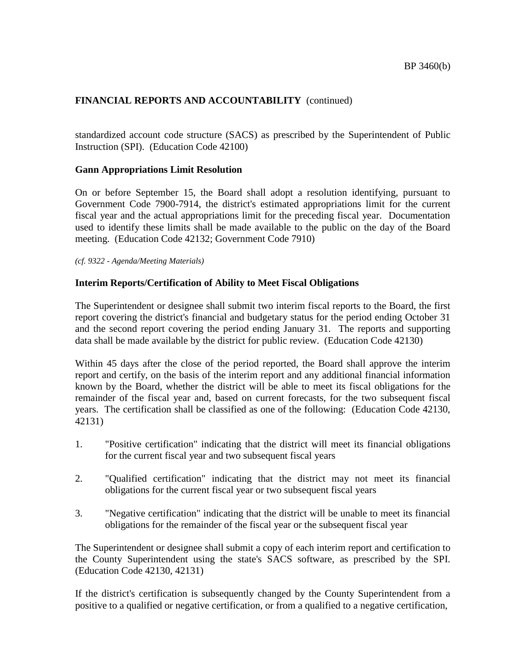standardized account code structure (SACS) as prescribed by the Superintendent of Public Instruction (SPI). (Education Code 42100)

### **Gann Appropriations Limit Resolution**

On or before September 15, the Board shall adopt a resolution identifying, pursuant to Government Code 7900-7914, the district's estimated appropriations limit for the current fiscal year and the actual appropriations limit for the preceding fiscal year. Documentation used to identify these limits shall be made available to the public on the day of the Board meeting. (Education Code 42132; Government Code 7910)

*(cf. 9322 - Agenda/Meeting Materials)*

# **Interim Reports/Certification of Ability to Meet Fiscal Obligations**

The Superintendent or designee shall submit two interim fiscal reports to the Board, the first report covering the district's financial and budgetary status for the period ending October 31 and the second report covering the period ending January 31. The reports and supporting data shall be made available by the district for public review. (Education Code 42130)

Within 45 days after the close of the period reported, the Board shall approve the interim report and certify, on the basis of the interim report and any additional financial information known by the Board, whether the district will be able to meet its fiscal obligations for the remainder of the fiscal year and, based on current forecasts, for the two subsequent fiscal years. The certification shall be classified as one of the following: (Education Code 42130, 42131)

- 1. "Positive certification" indicating that the district will meet its financial obligations for the current fiscal year and two subsequent fiscal years
- 2. "Qualified certification" indicating that the district may not meet its financial obligations for the current fiscal year or two subsequent fiscal years
- 3. "Negative certification" indicating that the district will be unable to meet its financial obligations for the remainder of the fiscal year or the subsequent fiscal year

The Superintendent or designee shall submit a copy of each interim report and certification to the County Superintendent using the state's SACS software, as prescribed by the SPI. (Education Code 42130, 42131)

If the district's certification is subsequently changed by the County Superintendent from a positive to a qualified or negative certification, or from a qualified to a negative certification,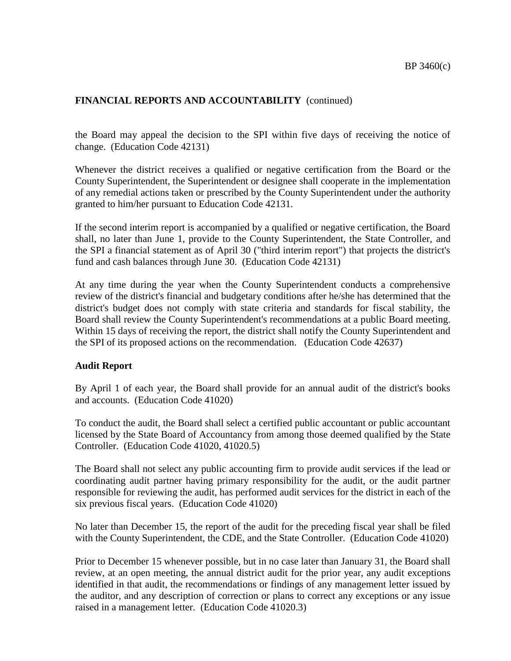the Board may appeal the decision to the SPI within five days of receiving the notice of change. (Education Code 42131)

Whenever the district receives a qualified or negative certification from the Board or the County Superintendent, the Superintendent or designee shall cooperate in the implementation of any remedial actions taken or prescribed by the County Superintendent under the authority granted to him/her pursuant to Education Code 42131.

If the second interim report is accompanied by a qualified or negative certification, the Board shall, no later than June 1, provide to the County Superintendent, the State Controller, and the SPI a financial statement as of April 30 ("third interim report") that projects the district's fund and cash balances through June 30. (Education Code 42131)

At any time during the year when the County Superintendent conducts a comprehensive review of the district's financial and budgetary conditions after he/she has determined that the district's budget does not comply with state criteria and standards for fiscal stability, the Board shall review the County Superintendent's recommendations at a public Board meeting. Within 15 days of receiving the report, the district shall notify the County Superintendent and the SPI of its proposed actions on the recommendation. (Education Code 42637)

### **Audit Report**

By April 1 of each year, the Board shall provide for an annual audit of the district's books and accounts. (Education Code 41020)

To conduct the audit, the Board shall select a certified public accountant or public accountant licensed by the State Board of Accountancy from among those deemed qualified by the State Controller. (Education Code 41020, 41020.5)

The Board shall not select any public accounting firm to provide audit services if the lead or coordinating audit partner having primary responsibility for the audit, or the audit partner responsible for reviewing the audit, has performed audit services for the district in each of the six previous fiscal years. (Education Code 41020)

No later than December 15, the report of the audit for the preceding fiscal year shall be filed with the County Superintendent, the CDE, and the State Controller. (Education Code 41020)

Prior to December 15 whenever possible, but in no case later than January 31, the Board shall review, at an open meeting, the annual district audit for the prior year, any audit exceptions identified in that audit, the recommendations or findings of any management letter issued by the auditor, and any description of correction or plans to correct any exceptions or any issue raised in a management letter. (Education Code 41020.3)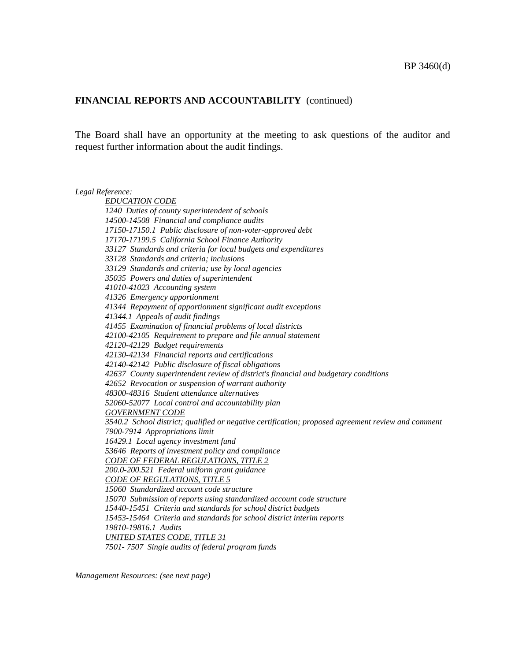The Board shall have an opportunity at the meeting to ask questions of the auditor and request further information about the audit findings.

*Legal Reference:*

*EDUCATION CODE 1240 Duties of county superintendent of schools 14500-14508 Financial and compliance audits 17150-17150.1 Public disclosure of non-voter-approved debt 17170-17199.5 California School Finance Authority 33127 Standards and criteria for local budgets and expenditures 33128 Standards and criteria; inclusions 33129 Standards and criteria; use by local agencies 35035 Powers and duties of superintendent 41010-41023 Accounting system 41326 Emergency apportionment 41344 Repayment of apportionment significant audit exceptions 41344.1 Appeals of audit findings 41455 Examination of financial problems of local districts 42100-42105 Requirement to prepare and file annual statement 42120-42129 Budget requirements 42130-42134 Financial reports and certifications 42140-42142 Public disclosure of fiscal obligations 42637 County superintendent review of district's financial and budgetary conditions 42652 Revocation or suspension of warrant authority 48300-48316 Student attendance alternatives 52060-52077 Local control and accountability plan GOVERNMENT CODE 3540.2 School district; qualified or negative certification; proposed agreement review and comment 7900-7914 Appropriations limit 16429.1 Local agency investment fund 53646 Reports of investment policy and compliance CODE OF FEDERAL REGULATIONS, TITLE 2 200.0-200.521 Federal uniform grant guidance CODE OF REGULATIONS, TITLE 5 15060 Standardized account code structure 15070 Submission of reports using standardized account code structure 15440-15451 Criteria and standards for school district budgets 15453-15464 Criteria and standards for school district interim reports 19810-19816.1 Audits UNITED STATES CODE, TITLE 31 7501- 7507 Single audits of federal program funds*

*Management Resources: (see next page)*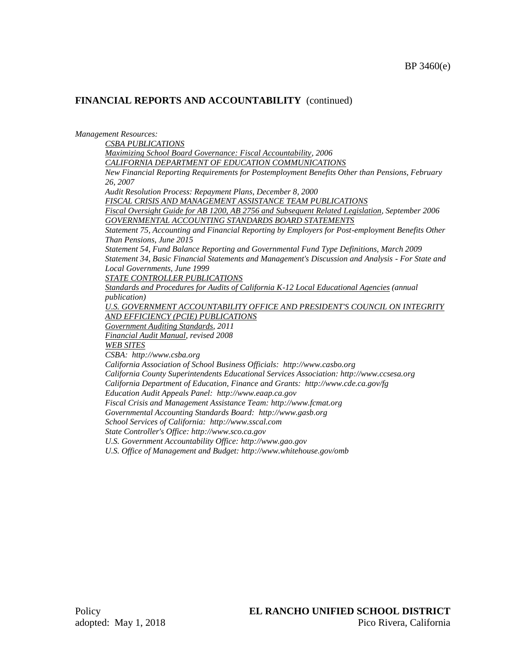*Management Resources: CSBA PUBLICATIONS Maximizing School Board Governance: Fiscal Accountability, 2006 CALIFORNIA DEPARTMENT OF EDUCATION COMMUNICATIONS New Financial Reporting Requirements for Postemployment Benefits Other than Pensions, February 26, 2007 Audit Resolution Process: Repayment Plans, December 8, 2000 FISCAL CRISIS AND MANAGEMENT ASSISTANCE TEAM PUBLICATIONS Fiscal Oversight Guide for AB 1200, AB 2756 and Subsequent Related Legislation, September 2006 GOVERNMENTAL ACCOUNTING STANDARDS BOARD STATEMENTS Statement 75, Accounting and Financial Reporting by Employers for Post-employment Benefits Other Than Pensions, June 2015 Statement 54, Fund Balance Reporting and Governmental Fund Type Definitions, March 2009 Statement 34, Basic Financial Statements and Management's Discussion and Analysis - For State and Local Governments, June 1999 STATE CONTROLLER PUBLICATIONS Standards and Procedures for Audits of California K-12 Local Educational Agencies (annual publication) U.S. GOVERNMENT ACCOUNTABILITY OFFICE AND PRESIDENT'S COUNCIL ON INTEGRITY AND EFFICIENCY (PCIE) PUBLICATIONS Government Auditing Standards, 2011 Financial Audit Manual, revised 2008 WEB SITES CSBA: http://www.csba.org California Association of School Business Officials: http://www.casbo.org California County Superintendents Educational Services Association: http://www.ccsesa.org California Department of Education, Finance and Grants: http://www.cde.ca.gov/fg Education Audit Appeals Panel: http://www.eaap.ca.gov Fiscal Crisis and Management Assistance Team: http://www.fcmat.org Governmental Accounting Standards Board: http://www.gasb.org School Services of California: http://www.sscal.com State Controller's Office: http://www.sco.ca.gov U.S. Government Accountability Office: http://www.gao.gov U.S. Office of Management and Budget: http://www.whitehouse.gov/omb*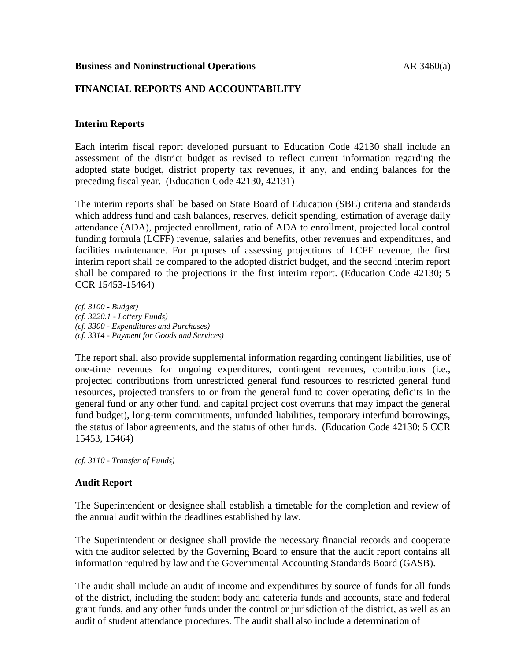#### **Business and Noninstructional Operations** AR 3460(a)

## **FINANCIAL REPORTS AND ACCOUNTABILITY**

## **Interim Reports**

Each interim fiscal report developed pursuant to Education Code 42130 shall include an assessment of the district budget as revised to reflect current information regarding the adopted state budget, district property tax revenues, if any, and ending balances for the preceding fiscal year. (Education Code 42130, 42131)

The interim reports shall be based on State Board of Education (SBE) criteria and standards which address fund and cash balances, reserves, deficit spending, estimation of average daily attendance (ADA), projected enrollment, ratio of ADA to enrollment, projected local control funding formula (LCFF) revenue, salaries and benefits, other revenues and expenditures, and facilities maintenance. For purposes of assessing projections of LCFF revenue, the first interim report shall be compared to the adopted district budget, and the second interim report shall be compared to the projections in the first interim report. (Education Code 42130; 5 CCR 15453-15464)

*(cf. 3100 - Budget) (cf. 3220.1 - Lottery Funds) (cf. 3300 - Expenditures and Purchases) (cf. 3314 - Payment for Goods and Services)*

The report shall also provide supplemental information regarding contingent liabilities, use of one-time revenues for ongoing expenditures, contingent revenues, contributions (i.e., projected contributions from unrestricted general fund resources to restricted general fund resources, projected transfers to or from the general fund to cover operating deficits in the general fund or any other fund, and capital project cost overruns that may impact the general fund budget), long-term commitments, unfunded liabilities, temporary interfund borrowings, the status of labor agreements, and the status of other funds. (Education Code 42130; 5 CCR 15453, 15464)

*(cf. 3110 - Transfer of Funds)*

### **Audit Report**

The Superintendent or designee shall establish a timetable for the completion and review of the annual audit within the deadlines established by law.

The Superintendent or designee shall provide the necessary financial records and cooperate with the auditor selected by the Governing Board to ensure that the audit report contains all information required by law and the Governmental Accounting Standards Board (GASB).

The audit shall include an audit of income and expenditures by source of funds for all funds of the district, including the student body and cafeteria funds and accounts, state and federal grant funds, and any other funds under the control or jurisdiction of the district, as well as an audit of student attendance procedures. The audit shall also include a determination of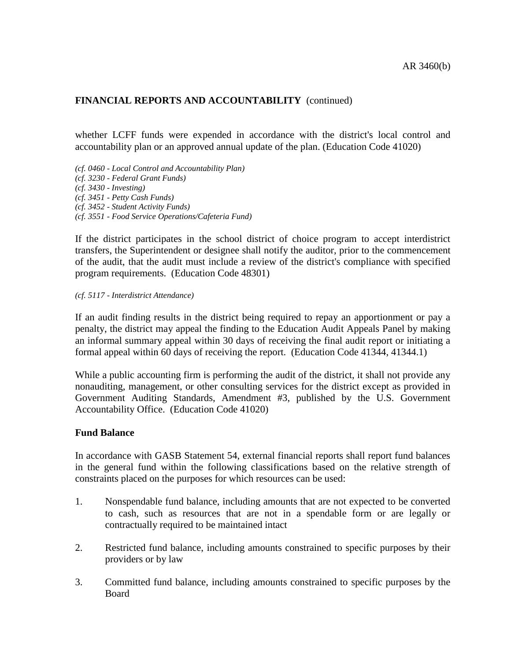whether LCFF funds were expended in accordance with the district's local control and accountability plan or an approved annual update of the plan. (Education Code 41020)

- *(cf. 0460 - Local Control and Accountability Plan)*
- *(cf. 3230 - Federal Grant Funds)*
- *(cf. 3430 - Investing)*
- *(cf. 3451 - Petty Cash Funds)*
- *(cf. 3452 - Student Activity Funds)*
- *(cf. 3551 - Food Service Operations/Cafeteria Fund)*

If the district participates in the school district of choice program to accept interdistrict transfers, the Superintendent or designee shall notify the auditor, prior to the commencement of the audit, that the audit must include a review of the district's compliance with specified program requirements. (Education Code 48301)

#### *(cf. 5117 - Interdistrict Attendance)*

If an audit finding results in the district being required to repay an apportionment or pay a penalty, the district may appeal the finding to the Education Audit Appeals Panel by making an informal summary appeal within 30 days of receiving the final audit report or initiating a formal appeal within 60 days of receiving the report. (Education Code 41344, 41344.1)

While a public accounting firm is performing the audit of the district, it shall not provide any nonauditing, management, or other consulting services for the district except as provided in Government Auditing Standards, Amendment #3, published by the U.S. Government Accountability Office. (Education Code 41020)

#### **Fund Balance**

In accordance with GASB Statement 54, external financial reports shall report fund balances in the general fund within the following classifications based on the relative strength of constraints placed on the purposes for which resources can be used:

- 1. Nonspendable fund balance, including amounts that are not expected to be converted to cash, such as resources that are not in a spendable form or are legally or contractually required to be maintained intact
- 2. Restricted fund balance, including amounts constrained to specific purposes by their providers or by law
- 3. Committed fund balance, including amounts constrained to specific purposes by the Board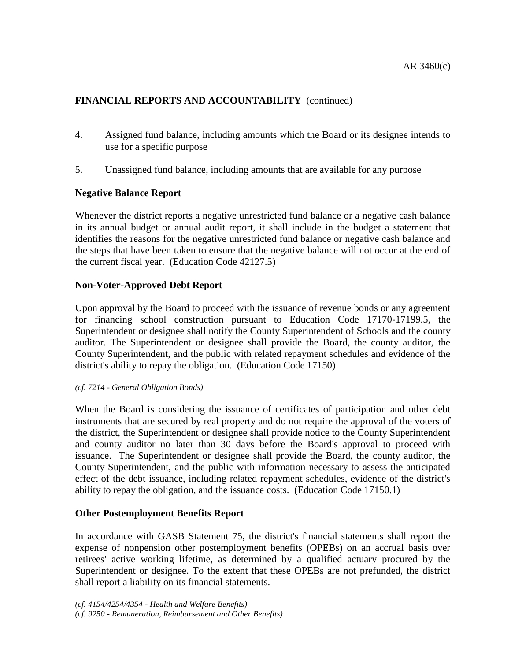- 4. Assigned fund balance, including amounts which the Board or its designee intends to use for a specific purpose
- 5. Unassigned fund balance, including amounts that are available for any purpose

# **Negative Balance Report**

Whenever the district reports a negative unrestricted fund balance or a negative cash balance in its annual budget or annual audit report, it shall include in the budget a statement that identifies the reasons for the negative unrestricted fund balance or negative cash balance and the steps that have been taken to ensure that the negative balance will not occur at the end of the current fiscal year. (Education Code 42127.5)

# **Non-Voter-Approved Debt Report**

Upon approval by the Board to proceed with the issuance of revenue bonds or any agreement for financing school construction pursuant to Education Code 17170-17199.5, the Superintendent or designee shall notify the County Superintendent of Schools and the county auditor. The Superintendent or designee shall provide the Board, the county auditor, the County Superintendent, and the public with related repayment schedules and evidence of the district's ability to repay the obligation. (Education Code 17150)

#### *(cf. 7214 - General Obligation Bonds)*

When the Board is considering the issuance of certificates of participation and other debt instruments that are secured by real property and do not require the approval of the voters of the district, the Superintendent or designee shall provide notice to the County Superintendent and county auditor no later than 30 days before the Board's approval to proceed with issuance. The Superintendent or designee shall provide the Board, the county auditor, the County Superintendent, and the public with information necessary to assess the anticipated effect of the debt issuance, including related repayment schedules, evidence of the district's ability to repay the obligation, and the issuance costs. (Education Code 17150.1)

### **Other Postemployment Benefits Report**

In accordance with GASB Statement 75, the district's financial statements shall report the expense of nonpension other postemployment benefits (OPEBs) on an accrual basis over retirees' active working lifetime, as determined by a qualified actuary procured by the Superintendent or designee. To the extent that these OPEBs are not prefunded, the district shall report a liability on its financial statements.